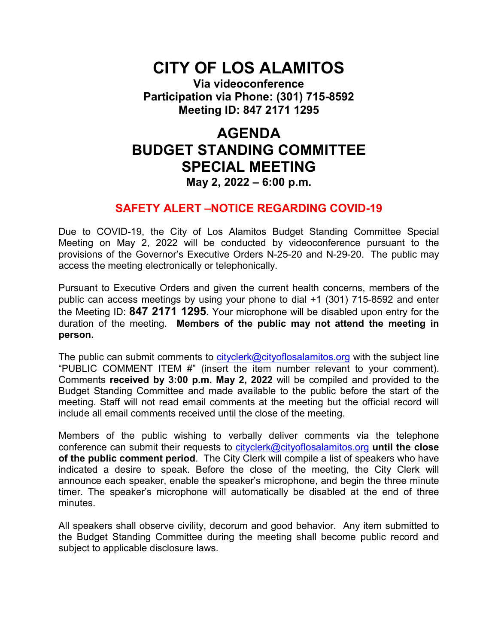# **CITY OF LOS ALAMITOS**

**Via videoconference Participation via Phone: (301) 715-8592 Meeting ID: 847 2171 1295**

# **AGENDA BUDGET STANDING COMMITTEE SPECIAL MEETING May 2, 2022 – 6:00 p.m.**

# **SAFETY ALERT –NOTICE REGARDING COVID-19**

Due to COVID-19, the City of Los Alamitos Budget Standing Committee Special Meeting on May 2, 2022 will be conducted by videoconference pursuant to the provisions of the Governor's Executive Orders N-25-20 and N-29-20. The public may access the meeting electronically or telephonically.

Pursuant to Executive Orders and given the current health concerns, members of the public can access meetings by using your phone to dial +1 (301) 715-8592 and enter the Meeting ID: **847 2171 1295**. Your microphone will be disabled upon entry for the duration of the meeting. **Members of the public may not attend the meeting in person.**

The public can submit comments to  $cityclerk@cityoflosalamitos.org$  with the subject line "PUBLIC COMMENT ITEM #" (insert the item number relevant to your comment). Comments **received by 3:00 p.m. May 2, 2022** will be compiled and provided to the Budget Standing Committee and made available to the public before the start of the meeting. Staff will not read email comments at the meeting but the official record will include all email comments received until the close of the meeting.

Members of the public wishing to verbally deliver comments via the telephone conference can submit their requests to [cityclerk@cityoflosalamitos.org](mailto:cityclerk@cityoflosalamitos.org) **until the close of the public comment period**. The City Clerk will compile a list of speakers who have indicated a desire to speak. Before the close of the meeting, the City Clerk will announce each speaker, enable the speaker's microphone, and begin the three minute timer. The speaker's microphone will automatically be disabled at the end of three minutes.

All speakers shall observe civility, decorum and good behavior. Any item submitted to the Budget Standing Committee during the meeting shall become public record and subject to applicable disclosure laws.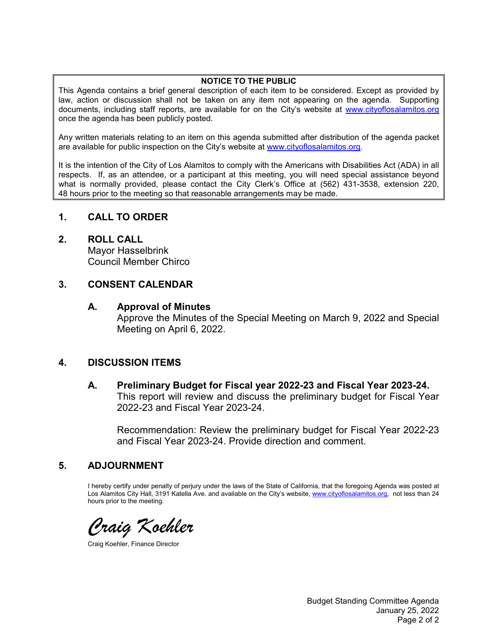#### **NOTICE TO THE PUBLIC**

This Agenda contains a brief general description of each item to be considered. Except as provided by law, action or discussion shall not be taken on any item not appearing on the agenda. Supporting documents, including staff reports, are available for on the City's website at [www.cityoflosalamitos.org](http://www.cityoflosalamitos.org/) once the agenda has been publicly posted.

Any written materials relating to an item on this agenda submitted after distribution of the agenda packet are available for public inspection on the City's website at [www.cityoflosalamitos.org.](http://www.cityoflosalamitos.org/)

It is the intention of the City of Los Alamitos to comply with the Americans with Disabilities Act (ADA) in all respects. If, as an attendee, or a participant at this meeting, you will need special assistance beyond what is normally provided, please contact the City Clerk's Office at (562) 431-3538, extension 220, 48 hours prior to the meeting so that reasonable arrangements may be made.

# **1. CALL TO ORDER**

#### **2. ROLL CALL**

Mayor Hasselbrink Council Member Chirco

#### **3. CONSENT CALENDAR**

#### **A. Approval of Minutes**

Approve the Minutes of the Special Meeting on March 9, 2022 and Special Meeting on April 6, 2022.

# **4. DISCUSSION ITEMS**

**A. Preliminary Budget for Fiscal year 2022-23 and Fiscal Year 2023-24.** This report will review and discuss the preliminary budget for Fiscal Year 2022-23 and Fiscal Year 2023-24.

Recommendation: Review the preliminary budget for Fiscal Year 2022-23 and Fiscal Year 2023-24. Provide direction and comment.

# **5. ADJOURNMENT**

I hereby certify under penalty of perjury under the laws of the State of California, that the foregoing Agenda was posted at Los Alamitos City Hall, 3191 Katella Ave. and available on the City's website, [www.cityoflosalamitos.org,](http://www.cityoflosalamitos.org/) not less than 24 hours prior to the meeting.

*Craig Koehler*

Craig Koehler, Finance Director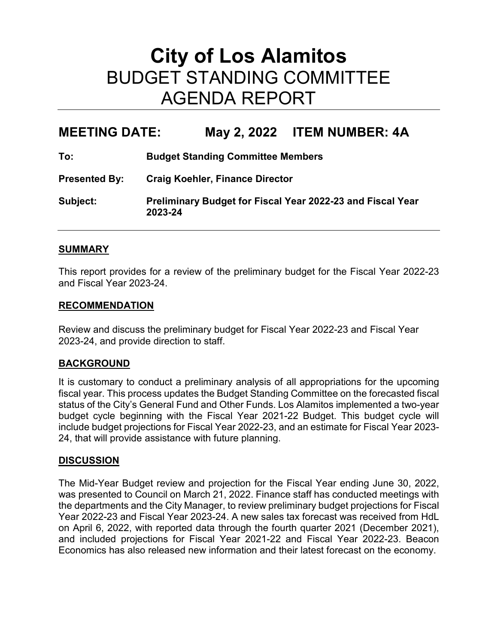# **City of Los Alamitos** BUDGET STANDING COMMITTEE AGENDA REPORT

# **MEETING DATE: May 2, 2022 ITEM NUMBER: 4A**

| To:                  | <b>Budget Standing Committee Members</b>                                     |
|----------------------|------------------------------------------------------------------------------|
| <b>Presented By:</b> | <b>Craig Koehler, Finance Director</b>                                       |
| Subject:             | <b>Preliminary Budget for Fiscal Year 2022-23 and Fiscal Year</b><br>2023-24 |

#### **SUMMARY**

This report provides for a review of the preliminary budget for the Fiscal Year 2022-23 and Fiscal Year 2023-24.

#### **RECOMMENDATION**

Review and discuss the preliminary budget for Fiscal Year 2022-23 and Fiscal Year 2023-24, and provide direction to staff.

# **BACKGROUND**

It is customary to conduct a preliminary analysis of all appropriations for the upcoming fiscal year. This process updates the Budget Standing Committee on the forecasted fiscal status of the City's General Fund and Other Funds. Los Alamitos implemented a two-year budget cycle beginning with the Fiscal Year 2021-22 Budget. This budget cycle will include budget projections for Fiscal Year 2022-23, and an estimate for Fiscal Year 2023- 24, that will provide assistance with future planning.

# **DISCUSSION**

The Mid-Year Budget review and projection for the Fiscal Year ending June 30, 2022, was presented to Council on March 21, 2022. Finance staff has conducted meetings with the departments and the City Manager, to review preliminary budget projections for Fiscal Year 2022-23 and Fiscal Year 2023-24. A new sales tax forecast was received from HdL on April 6, 2022, with reported data through the fourth quarter 2021 (December 2021), and included projections for Fiscal Year 2021-22 and Fiscal Year 2022-23. Beacon Economics has also released new information and their latest forecast on the economy.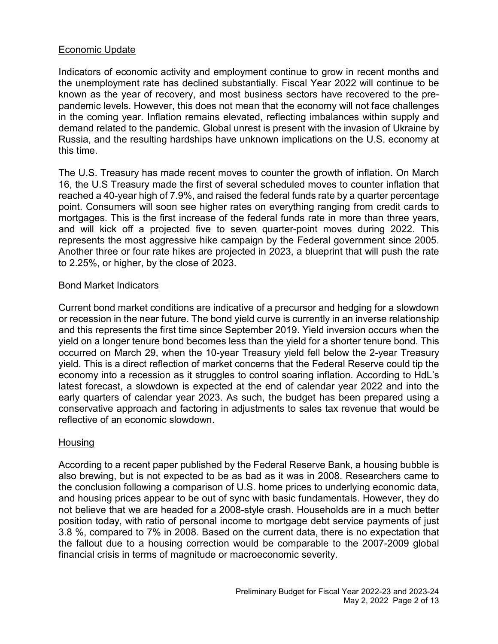# Economic Update

Indicators of economic activity and employment continue to grow in recent months and the unemployment rate has declined substantially. Fiscal Year 2022 will continue to be known as the year of recovery, and most business sectors have recovered to the prepandemic levels. However, this does not mean that the economy will not face challenges in the coming year. Inflation remains elevated, reflecting imbalances within supply and demand related to the pandemic. Global unrest is present with the invasion of Ukraine by Russia, and the resulting hardships have unknown implications on the U.S. economy at this time.

The U.S. Treasury has made recent moves to counter the growth of inflation. On March 16, the U.S Treasury made the first of several scheduled moves to counter inflation that reached a 40-year high of 7.9%, and raised the federal funds rate by a quarter percentage point. Consumers will soon see higher rates on everything ranging from credit cards to mortgages. This is the first increase of the federal funds rate in more than three years, and will kick off a projected five to seven quarter-point moves during 2022. This represents the most aggressive hike campaign by the Federal government since 2005. Another three or four rate hikes are projected in 2023, a blueprint that will push the rate to 2.25%, or higher, by the close of 2023.

# Bond Market Indicators

Current bond market conditions are indicative of a precursor and hedging for a slowdown or recession in the near future. The bond yield curve is currently in an inverse relationship and this represents the first time since September 2019. Yield inversion occurs when the yield on a longer tenure bond becomes less than the yield for a shorter tenure bond. This occurred on March 29, when the 10-year Treasury yield fell below the 2-year Treasury yield. This is a direct reflection of market concerns that the Federal Reserve could tip the economy into a recession as it struggles to control soaring inflation. According to HdL's latest forecast, a slowdown is expected at the end of calendar year 2022 and into the early quarters of calendar year 2023. As such, the budget has been prepared using a conservative approach and factoring in adjustments to sales tax revenue that would be reflective of an economic slowdown.

# **Housing**

According to a recent paper published by the Federal Reserve Bank, a housing bubble is also brewing, but is not expected to be as bad as it was in 2008. Researchers came to the conclusion following a comparison of U.S. home prices to underlying economic data, and housing prices appear to be out of sync with basic fundamentals. However, they do not believe that we are headed for a 2008-style crash. Households are in a much better position today, with ratio of personal income to mortgage debt service payments of just 3.8 %, compared to 7% in 2008. Based on the current data, there is no expectation that the fallout due to a housing correction would be comparable to the 2007-2009 global financial crisis in terms of magnitude or macroeconomic severity.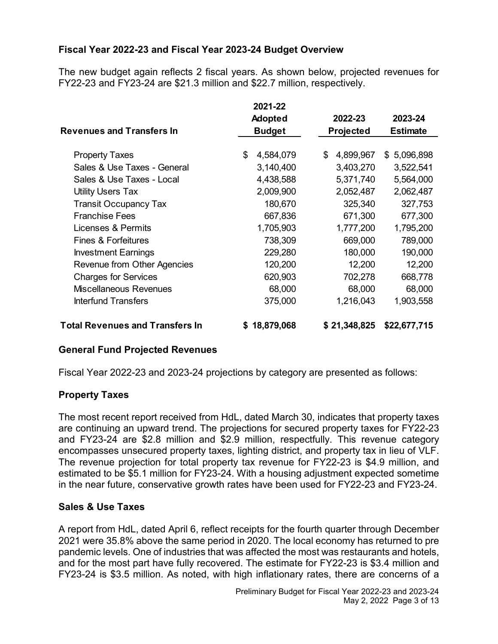# **Fiscal Year 2022-23 and Fiscal Year 2023-24 Budget Overview**

The new budget again reflects 2 fiscal years. As shown below, projected revenues for FY22-23 and FY23-24 are \$21.3 million and \$22.7 million, respectively.

|                                        | 2021-22         |                 |                 |  |
|----------------------------------------|-----------------|-----------------|-----------------|--|
|                                        | <b>Adopted</b>  | 2022-23         | 2023-24         |  |
| <b>Revenues and Transfers In</b>       | <b>Budget</b>   | Projected       | <b>Estimate</b> |  |
|                                        |                 |                 |                 |  |
| <b>Property Taxes</b>                  | 4,584,079<br>\$ | \$<br>4,899,967 | 5,096,898<br>\$ |  |
| Sales & Use Taxes - General            | 3,140,400       | 3,403,270       | 3,522,541       |  |
| Sales & Use Taxes - Local              | 4,438,588       | 5,371,740       | 5,564,000       |  |
| <b>Utility Users Tax</b>               | 2,009,900       | 2,052,487       | 2,062,487       |  |
| <b>Transit Occupancy Tax</b>           | 180,670         | 325,340         | 327,753         |  |
| <b>Franchise Fees</b>                  | 667,836         | 671,300         | 677,300         |  |
| Licenses & Permits                     | 1,705,903       | 1,777,200       | 1,795,200       |  |
| <b>Fines &amp; Forfeitures</b>         | 738,309         | 669,000         | 789,000         |  |
| <b>Investment Earnings</b>             | 229,280         | 180,000         | 190,000         |  |
| Revenue from Other Agencies            | 120,200         | 12,200          | 12,200          |  |
| <b>Charges for Services</b>            | 620,903         | 702,278         | 668,778         |  |
| <b>Miscellaneous Revenues</b>          | 68,000          | 68,000          | 68,000          |  |
| <b>Interfund Transfers</b>             | 375,000         | 1,216,043       | 1,903,558       |  |
| <b>Total Revenues and Transfers In</b> | \$18,879,068    | \$21,348,825    | \$22,677,715    |  |

# **General Fund Projected Revenues**

Fiscal Year 2022-23 and 2023-24 projections by category are presented as follows:

# **Property Taxes**

The most recent report received from HdL, dated March 30, indicates that property taxes are continuing an upward trend. The projections for secured property taxes for FY22-23 and FY23-24 are \$2.8 million and \$2.9 million, respectfully. This revenue category encompasses unsecured property taxes, lighting district, and property tax in lieu of VLF. The revenue projection for total property tax revenue for FY22-23 is \$4.9 million, and estimated to be \$5.1 million for FY23-24. With a housing adjustment expected sometime in the near future, conservative growth rates have been used for FY22-23 and FY23-24.

# **Sales & Use Taxes**

A report from HdL, dated April 6, reflect receipts for the fourth quarter through December 2021 were 35.8% above the same period in 2020. The local economy has returned to pre pandemic levels. One of industries that was affected the most was restaurants and hotels, and for the most part have fully recovered. The estimate for FY22-23 is \$3.4 million and FY23-24 is \$3.5 million. As noted, with high inflationary rates, there are concerns of a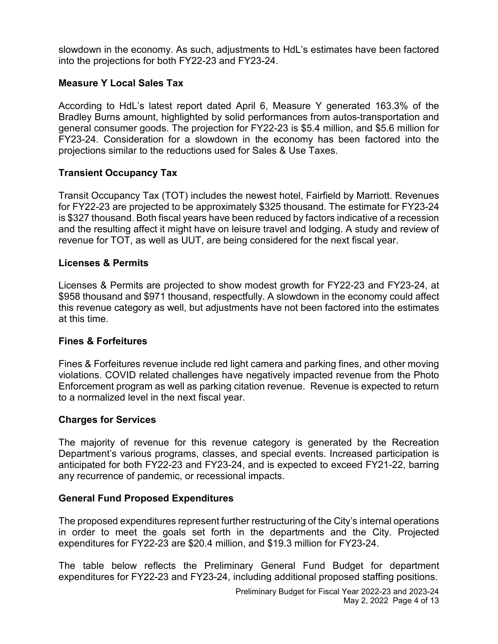slowdown in the economy. As such, adjustments to HdL's estimates have been factored into the projections for both FY22-23 and FY23-24.

# **Measure Y Local Sales Tax**

According to HdL's latest report dated April 6, Measure Y generated 163.3% of the Bradley Burns amount, highlighted by solid performances from autos-transportation and general consumer goods. The projection for FY22-23 is \$5.4 million, and \$5.6 million for FY23-24. Consideration for a slowdown in the economy has been factored into the projections similar to the reductions used for Sales & Use Taxes.

# **Transient Occupancy Tax**

Transit Occupancy Tax (TOT) includes the newest hotel, Fairfield by Marriott. Revenues for FY22-23 are projected to be approximately \$325 thousand. The estimate for FY23-24 is \$327 thousand. Both fiscal years have been reduced by factors indicative of a recession and the resulting affect it might have on leisure travel and lodging. A study and review of revenue for TOT, as well as UUT, are being considered for the next fiscal year.

# **Licenses & Permits**

Licenses & Permits are projected to show modest growth for FY22-23 and FY23-24, at \$958 thousand and \$971 thousand, respectfully. A slowdown in the economy could affect this revenue category as well, but adjustments have not been factored into the estimates at this time.

# **Fines & Forfeitures**

Fines & Forfeitures revenue include red light camera and parking fines, and other moving violations. COVID related challenges have negatively impacted revenue from the Photo Enforcement program as well as parking citation revenue. Revenue is expected to return to a normalized level in the next fiscal year.

# **Charges for Services**

The majority of revenue for this revenue category is generated by the Recreation Department's various programs, classes, and special events. Increased participation is anticipated for both FY22-23 and FY23-24, and is expected to exceed FY21-22, barring any recurrence of pandemic, or recessional impacts.

# **General Fund Proposed Expenditures**

The proposed expenditures represent further restructuring of the City's internal operations in order to meet the goals set forth in the departments and the City. Projected expenditures for FY22-23 are \$20.4 million, and \$19.3 million for FY23-24.

The table below reflects the Preliminary General Fund Budget for department expenditures for FY22-23 and FY23-24, including additional proposed staffing positions.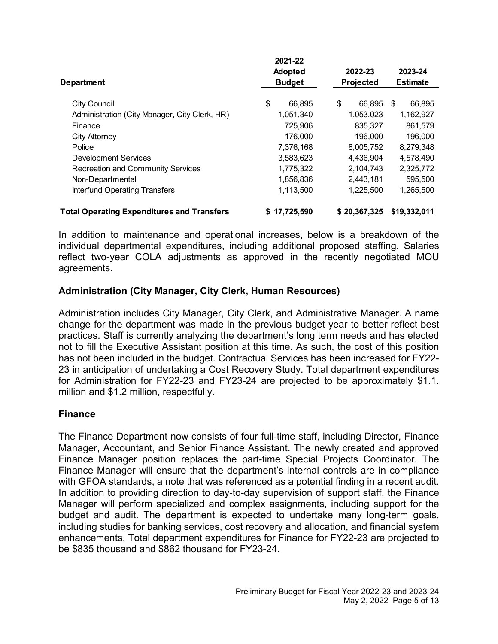|                                                   | 2021-22       |              |              |                 |  |
|---------------------------------------------------|---------------|--------------|--------------|-----------------|--|
|                                                   | Adopted       |              | 2022-23      | 2023-24         |  |
| <b>Department</b>                                 | <b>Budget</b> |              | Projected    | <b>Estimate</b> |  |
| <b>City Council</b>                               | \$            | \$<br>66,895 | 66,895       | 66,895<br>\$    |  |
| Administration (City Manager, City Clerk, HR)     | 1,051,340     |              | 1,053,023    | 1,162,927       |  |
| Finance                                           | 725,906       |              | 835,327      | 861,579         |  |
| City Attorney                                     | 176,000       |              | 196,000      | 196,000         |  |
| Police                                            | 7,376,168     |              | 8,005,752    | 8,279,348       |  |
| <b>Development Services</b>                       | 3.583.623     |              | 4.436.904    | 4,578,490       |  |
| <b>Recreation and Community Services</b>          | 1,775,322     |              | 2,104,743    | 2,325,772       |  |
| Non-Departmental                                  | 1,856,836     |              | 2,443,181    | 595,500         |  |
| <b>Interfund Operating Transfers</b>              | 1,113,500     |              | 1,225,500    | 1,265,500       |  |
| <b>Total Operating Expenditures and Transfers</b> | \$17,725,590  |              | \$20,367,325 | \$19,332,011    |  |

In addition to maintenance and operational increases, below is a breakdown of the individual departmental expenditures, including additional proposed staffing. Salaries reflect two-year COLA adjustments as approved in the recently negotiated MOU agreements.

# **Administration (City Manager, City Clerk, Human Resources)**

Administration includes City Manager, City Clerk, and Administrative Manager. A name change for the department was made in the previous budget year to better reflect best practices. Staff is currently analyzing the department's long term needs and has elected not to fill the Executive Assistant position at this time. As such, the cost of this position has not been included in the budget. Contractual Services has been increased for FY22- 23 in anticipation of undertaking a Cost Recovery Study. Total department expenditures for Administration for FY22-23 and FY23-24 are projected to be approximately \$1.1. million and \$1.2 million, respectfully.

# **Finance**

The Finance Department now consists of four full-time staff, including Director, Finance Manager, Accountant, and Senior Finance Assistant. The newly created and approved Finance Manager position replaces the part-time Special Projects Coordinator. The Finance Manager will ensure that the department's internal controls are in compliance with GFOA standards, a note that was referenced as a potential finding in a recent audit. In addition to providing direction to day-to-day supervision of support staff, the Finance Manager will perform specialized and complex assignments, including support for the budget and audit. The department is expected to undertake many long-term goals, including studies for banking services, cost recovery and allocation, and financial system enhancements. Total department expenditures for Finance for FY22-23 are projected to be \$835 thousand and \$862 thousand for FY23-24.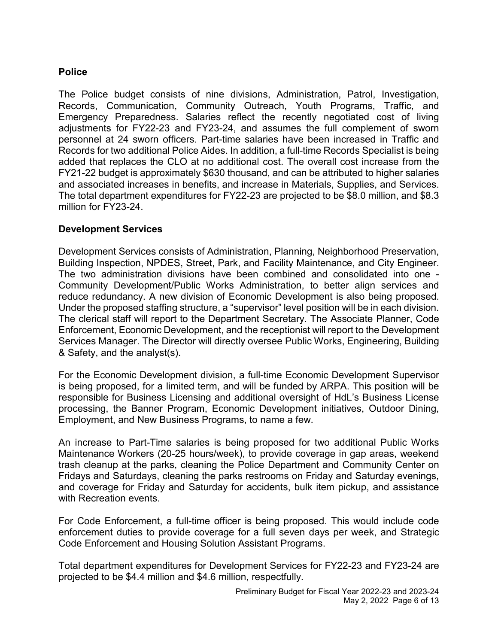# **Police**

The Police budget consists of nine divisions, Administration, Patrol, Investigation, Records, Communication, Community Outreach, Youth Programs, Traffic, and Emergency Preparedness. Salaries reflect the recently negotiated cost of living adjustments for FY22-23 and FY23-24, and assumes the full complement of sworn personnel at 24 sworn officers. Part-time salaries have been increased in Traffic and Records for two additional Police Aides. In addition, a full-time Records Specialist is being added that replaces the CLO at no additional cost. The overall cost increase from the FY21-22 budget is approximately \$630 thousand, and can be attributed to higher salaries and associated increases in benefits, and increase in Materials, Supplies, and Services. The total department expenditures for FY22-23 are projected to be \$8.0 million, and \$8.3 million for FY23-24.

# **Development Services**

Development Services consists of Administration, Planning, Neighborhood Preservation, Building Inspection, NPDES, Street, Park, and Facility Maintenance, and City Engineer. The two administration divisions have been combined and consolidated into one - Community Development/Public Works Administration, to better align services and reduce redundancy. A new division of Economic Development is also being proposed. Under the proposed staffing structure, a "supervisor" level position will be in each division. The clerical staff will report to the Department Secretary. The Associate Planner, Code Enforcement, Economic Development, and the receptionist will report to the Development Services Manager. The Director will directly oversee Public Works, Engineering, Building & Safety, and the analyst(s).

For the Economic Development division, a full-time Economic Development Supervisor is being proposed, for a limited term, and will be funded by ARPA. This position will be responsible for Business Licensing and additional oversight of HdL's Business License processing, the Banner Program, Economic Development initiatives, Outdoor Dining, Employment, and New Business Programs, to name a few.

An increase to Part-Time salaries is being proposed for two additional Public Works Maintenance Workers (20-25 hours/week), to provide coverage in gap areas, weekend trash cleanup at the parks, cleaning the Police Department and Community Center on Fridays and Saturdays, cleaning the parks restrooms on Friday and Saturday evenings, and coverage for Friday and Saturday for accidents, bulk item pickup, and assistance with Recreation events.

For Code Enforcement, a full-time officer is being proposed. This would include code enforcement duties to provide coverage for a full seven days per week, and Strategic Code Enforcement and Housing Solution Assistant Programs.

Total department expenditures for Development Services for FY22-23 and FY23-24 are projected to be \$4.4 million and \$4.6 million, respectfully.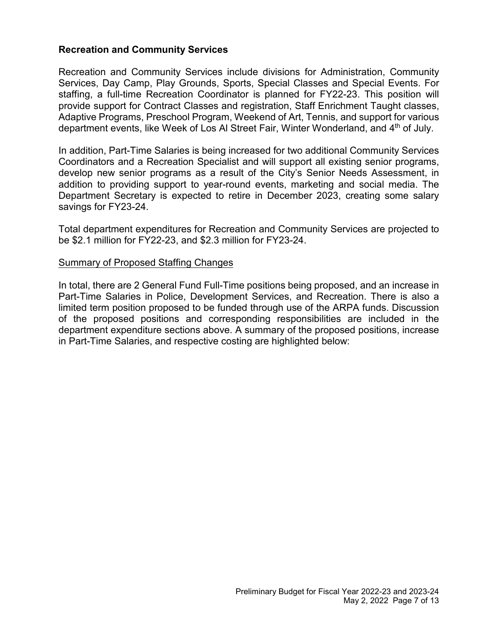# **Recreation and Community Services**

Recreation and Community Services include divisions for Administration, Community Services, Day Camp, Play Grounds, Sports, Special Classes and Special Events. For staffing, a full-time Recreation Coordinator is planned for FY22-23. This position will provide support for Contract Classes and registration, Staff Enrichment Taught classes, Adaptive Programs, Preschool Program, Weekend of Art, Tennis, and support for various department events, like Week of Los Al Street Fair, Winter Wonderland, and 4<sup>th</sup> of July.

In addition, Part-Time Salaries is being increased for two additional Community Services Coordinators and a Recreation Specialist and will support all existing senior programs, develop new senior programs as a result of the City's Senior Needs Assessment, in addition to providing support to year-round events, marketing and social media. The Department Secretary is expected to retire in December 2023, creating some salary savings for FY23-24.

Total department expenditures for Recreation and Community Services are projected to be \$2.1 million for FY22-23, and \$2.3 million for FY23-24.

#### Summary of Proposed Staffing Changes

In total, there are 2 General Fund Full-Time positions being proposed, and an increase in Part-Time Salaries in Police, Development Services, and Recreation. There is also a limited term position proposed to be funded through use of the ARPA funds. Discussion of the proposed positions and corresponding responsibilities are included in the department expenditure sections above. A summary of the proposed positions, increase in Part-Time Salaries, and respective costing are highlighted below: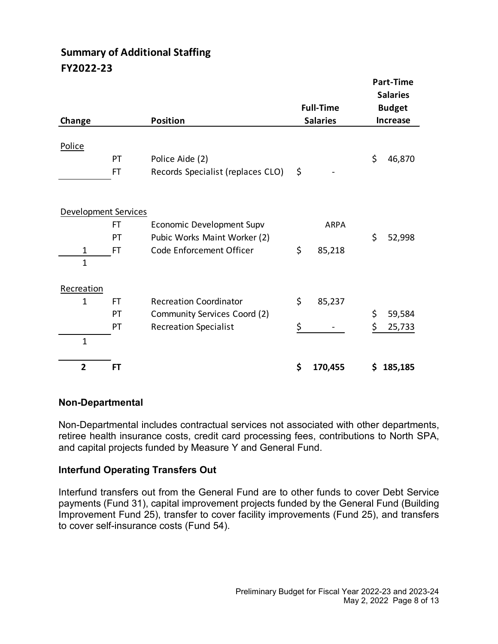# **Summary of Additional Staffing FY2022-23**

|                      |           |                                   |                  |    | <b>Part-Time</b><br><b>Salaries</b> |
|----------------------|-----------|-----------------------------------|------------------|----|-------------------------------------|
|                      |           |                                   | <b>Full-Time</b> |    | <b>Budget</b>                       |
| Change               |           | <b>Position</b>                   | <b>Salaries</b>  |    | <b>Increase</b>                     |
| Police               |           |                                   |                  |    |                                     |
|                      | PT        | Police Aide (2)                   |                  | \$ | 46,870                              |
|                      | FT        | Records Specialist (replaces CLO) | \$               |    |                                     |
|                      |           |                                   |                  |    |                                     |
| Development Services |           |                                   |                  |    |                                     |
|                      | FT        | Economic Development Supv         | <b>ARPA</b>      |    |                                     |
|                      | PT        | Pubic Works Maint Worker (2)      |                  | \$ | 52,998                              |
| 1                    | <b>FT</b> | Code Enforcement Officer          | \$<br>85,218     |    |                                     |
| $\mathbf{1}$         |           |                                   |                  |    |                                     |
| Recreation           |           |                                   |                  |    |                                     |
| 1                    | FT        | <b>Recreation Coordinator</b>     | \$<br>85,237     |    |                                     |
|                      | PT        | Community Services Coord (2)      |                  | \$ | 59,584                              |
|                      | PT        | <b>Recreation Specialist</b>      | \$               | \$ | 25,733                              |
| $\mathbf{1}$         |           |                                   |                  |    |                                     |
| $\overline{2}$       | <b>FT</b> |                                   | \$<br>170,455    | S  | 185,185                             |

# **Non-Departmental**

Non-Departmental includes contractual services not associated with other departments, retiree health insurance costs, credit card processing fees, contributions to North SPA, and capital projects funded by Measure Y and General Fund.

# **Interfund Operating Transfers Out**

Interfund transfers out from the General Fund are to other funds to cover Debt Service payments (Fund 31), capital improvement projects funded by the General Fund (Building Improvement Fund 25), transfer to cover facility improvements (Fund 25), and transfers to cover self-insurance costs (Fund 54).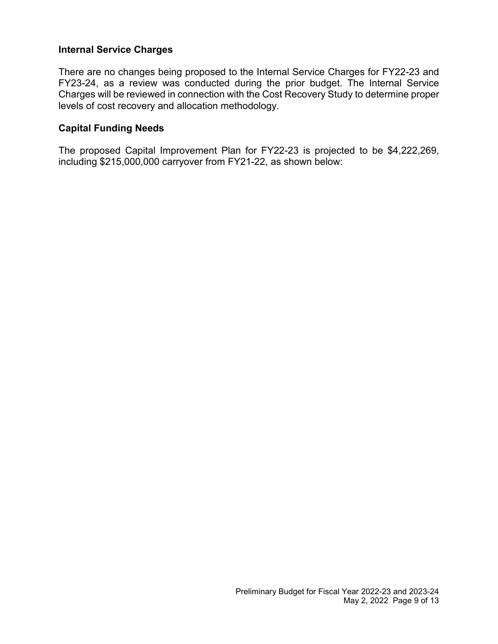# **Internal Service Charges**

There are no changes being proposed to the Internal Service Charges for FY22-23 and FY23-24, as a review was conducted during the prior budget. The Internal Service Charges will be reviewed in connection with the Cost Recovery Study to determine proper levels of cost recovery and allocation methodology.

# **Capital Funding Needs**

The proposed Capital Improvement Plan for FY22-23 is projected to be \$4,222,269, including \$215,000,000 carryover from FY21-22, as shown below: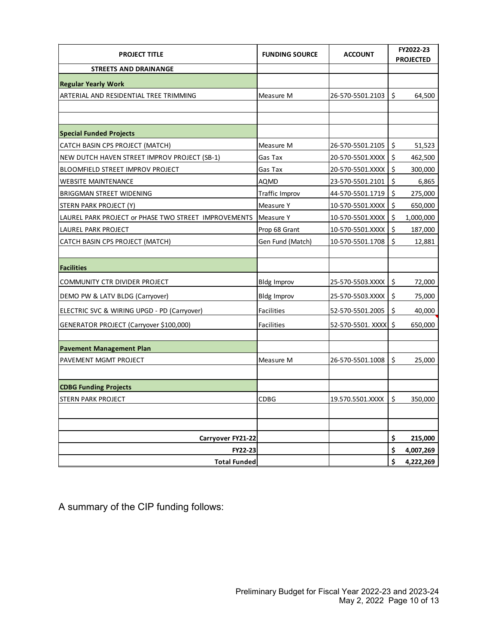| <b>PROJECT TITLE</b>                                 | <b>FUNDING SOURCE</b> | <b>ACCOUNT</b>    | FY2022-23<br><b>PROJECTED</b> |           |
|------------------------------------------------------|-----------------------|-------------------|-------------------------------|-----------|
| <b>STREETS AND DRAINANGE</b>                         |                       |                   |                               |           |
| <b>Regular Yearly Work</b>                           |                       |                   |                               |           |
| ARTERIAL AND RESIDENTIAL TREE TRIMMING               | Measure M             | 26-570-5501.2103  | \$                            | 64,500    |
|                                                      |                       |                   |                               |           |
|                                                      |                       |                   |                               |           |
| <b>Special Funded Projects</b>                       |                       |                   |                               |           |
| CATCH BASIN CPS PROJECT (MATCH)                      | Measure M             | 26-570-5501.2105  | \$                            | 51,523    |
| NEW DUTCH HAVEN STREET IMPROV PROJECT (SB-1)         | Gas Tax               | 20-570-5501.XXXX  | \$                            | 462,500   |
| <b>BLOOMFIELD STREET IMPROV PROJECT</b>              | Gas Tax               | 20-570-5501.XXXX  | \$                            | 300,000   |
| <b>WEBSITE MAINTENANCE</b>                           | <b>AQMD</b>           | 23-570-5501.2101  | \$                            | 6,865     |
| BRIGGMAN STREET WIDENING                             | <b>Traffic Improv</b> | 44-570-5501.1719  | \$                            | 275,000   |
| STERN PARK PROJECT (Y)                               | Measure Y             | 10-570-5501.XXXX  | \$                            | 650,000   |
| LAUREL PARK PROJECT or PHASE TWO STREET IMPROVEMENTS | Measure Y             | 10-570-5501.XXXX  | \$                            | 1,000,000 |
| LAUREL PARK PROJECT                                  | Prop 68 Grant         | 10-570-5501.XXXX  | $\boldsymbol{\zeta}$          | 187,000   |
| CATCH BASIN CPS PROJECT (MATCH)                      | Gen Fund (Match)      | 10-570-5501.1708  | \$                            | 12,881    |
|                                                      |                       |                   |                               |           |
| <b>Facilities</b>                                    |                       |                   |                               |           |
| COMMUNITY CTR DIVIDER PROJECT                        | <b>Bldg Improv</b>    | 25-570-5503.XXXX  | \$                            | 72,000    |
| DEMO PW & LATV BLDG (Carryover)                      | <b>Bldg Improv</b>    | 25-570-5503.XXXX  | \$                            | 75,000    |
| ELECTRIC SVC & WIRING UPGD - PD (Carryover)          | <b>Facilities</b>     | 52-570-5501.2005  | \$                            | 40,000    |
| GENERATOR PROJECT (Carryover \$100,000)              | <b>Facilities</b>     | 52-570-5501. XXXX | \$                            | 650,000   |
|                                                      |                       |                   |                               |           |
| <b>Pavement Management Plan</b>                      |                       |                   |                               |           |
| PAVEMENT MGMT PROJECT                                | Measure M             | 26-570-5501.1008  | \$                            | 25,000    |
|                                                      |                       |                   |                               |           |
| <b>CDBG Funding Projects</b>                         |                       |                   |                               |           |
| STERN PARK PROJECT                                   | <b>CDBG</b>           | 19.570.5501.XXXX  | \$                            | 350,000   |
|                                                      |                       |                   |                               |           |
|                                                      |                       |                   |                               |           |
| Carryover FY21-22                                    |                       |                   | \$                            | 215,000   |
| <b>FY22-23</b>                                       |                       |                   | \$                            | 4,007,269 |
| <b>Total Funded</b>                                  |                       |                   | \$                            | 4,222,269 |

A summary of the CIP funding follows: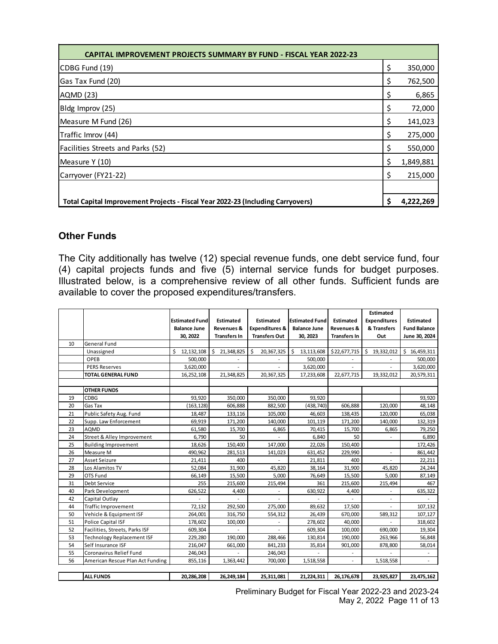| <b>CAPITAL IMPROVEMENT PROJECTS SUMMARY BY FUND - FISCAL YEAR 2022-23</b>       |    |           |
|---------------------------------------------------------------------------------|----|-----------|
| CDBG Fund (19)                                                                  | \$ | 350,000   |
| Gas Tax Fund (20)                                                               | S  | 762,500   |
| AQMD (23)                                                                       | \$ | 6,865     |
| Bldg Improv (25)                                                                | \$ | 72,000    |
| Measure M Fund (26)                                                             | \$ | 141,023   |
| Traffic Imrov (44)                                                              | Ş  | 275,000   |
| <b>Facilities Streets and Parks (52)</b>                                        |    | 550,000   |
| Measure Y (10)                                                                  | \$ | 1,849,881 |
| Carryover (FY21-22)                                                             | S  | 215,000   |
|                                                                                 |    |           |
| Total Capital Improvement Projects - Fiscal Year 2022-23 (Including Carryovers) | Ś  | 4,222,269 |

# **Other Funds**

The City additionally has twelve (12) special revenue funds, one debt service fund, four (4) capital projects funds and five (5) internal service funds for budget purposes. Illustrated below, is a comprehensive review of all other funds. Sufficient funds are available to cover the proposed expenditures/transfers.

|    |                                  |                       |                       |                           |                       |                       | Estimated           |                     |
|----|----------------------------------|-----------------------|-----------------------|---------------------------|-----------------------|-----------------------|---------------------|---------------------|
|    |                                  | <b>Estimated Fund</b> | Estimated             | <b>Estimated</b>          | <b>Estimated Fund</b> | <b>Estimated</b>      | <b>Expenditures</b> | <b>Estimated</b>    |
|    |                                  | <b>Balance June</b>   | <b>Revenues &amp;</b> | <b>Expenditures &amp;</b> | <b>Balance June</b>   | <b>Revenues &amp;</b> | & Transfers         | <b>Fund Balance</b> |
|    |                                  | 30, 2022              | <b>Transfers In</b>   | <b>Transfers Out</b>      | 30, 2023              | <b>Transfers In</b>   | Out                 | June 30, 2024       |
| 10 | General Fund                     |                       |                       |                           |                       |                       |                     |                     |
|    | Unassigned                       | \$<br>12, 132, 108    | Ŝ.<br>21,348,825      | \$<br>20,367,325          | 13,113,608<br>Ś.      | \$22,677,715          | Ŝ.<br>19,332,012    | \$16,459,311        |
|    | OPEB                             | 500,000               |                       |                           | 500,000               |                       |                     | 500,000             |
|    | <b>PERS Reserves</b>             | 3,620,000             |                       |                           | 3,620,000             |                       |                     | 3,620,000           |
|    | <b>TOTAL GENERAL FUND</b>        | 16,252,108            | 21,348,825            | 20,367,325                | 17,233,608            | 22,677,715            | 19,332,012          | 20,579,311          |
|    |                                  |                       |                       |                           |                       |                       |                     |                     |
|    | <b>OTHER FUNDS</b>               |                       |                       |                           |                       |                       |                     |                     |
| 19 | <b>CDBG</b>                      | 93,920                | 350,000               | 350,000                   | 93,920                |                       |                     | 93,920              |
| 20 | <b>Gas Tax</b>                   | (163, 128)            | 606,888               | 882,500                   | (438, 740)            | 606,888               | 120,000             | 48,148              |
| 21 | Public Safety Aug. Fund          | 18,487                | 133,116               | 105,000                   | 46,603                | 138,435               | 120,000             | 65,038              |
| 22 | Supp. Law Enforcement            | 69,919                | 171,200               | 140,000                   | 101,119               | 171,200               | 140,000             | 132,319             |
| 23 | <b>AQMD</b>                      | 61,580                | 15,700                | 6,865                     | 70,415                | 15,700                | 6,865               | 79,250              |
| 24 | Street & Alley Improvement       | 6.790                 | 50                    |                           | 6,840                 | 50                    |                     | 6,890               |
| 25 | <b>Building Improvement</b>      | 18,626                | 150,400               | 147,000                   | 22,026                | 150,400               |                     | 172,426             |
| 26 | Measure M                        | 490,962               | 281,513               | 141,023                   | 631,452               | 229,990               |                     | 861,442             |
| 27 | <b>Asset Seizure</b>             | 21,411                | 400                   |                           | 21,811                | 400                   |                     | 22,211              |
| 28 | Los Alamitos TV                  | 52,084                | 31,900                | 45,820                    | 38,164                | 31,900                | 45,820              | 24,244              |
| 29 | OTS Fund                         | 66,149                | 15,500                | 5,000                     | 76,649                | 15,500                | 5,000               | 87,149              |
| 31 | Debt Service                     | 255                   | 215,600               | 215,494                   | 361                   | 215,600               | 215,494             | 467                 |
| 40 | Park Development                 | 626,522               | 4,400                 |                           | 630,922               | 4,400                 |                     | 635,322             |
| 42 | Capital Outlay                   |                       |                       |                           |                       |                       |                     |                     |
| 44 | Traffic Improvement              | 72,132                | 292,500               | 275,000                   | 89,632                | 17,500                |                     | 107,132             |
| 50 | Vehicle & Equipment ISF          | 264,001               | 316,750               | 554,312                   | 26,439                | 670,000               | 589,312             | 107,127             |
| 51 | Police Capital ISF               | 178,602               | 100,000               |                           | 278,602               | 40,000                |                     | 318,602             |
| 52 | Facilities, Streets, Parks ISF   | 609,304               |                       |                           | 609,304               | 100,000               | 690,000             | 19,304              |
| 53 | Technology Replacement ISF       | 229,280               | 190,000               | 288,466                   | 130,814               | 190,000               | 263,966             | 56,848              |
| 54 | Self Insurance ISF               | 216,047               | 661,000               | 841,233                   | 35,814                | 901,000               | 878,800             | 58,014              |
| 55 | Coronavirus Relief Fund          | 246,043               |                       | 246,043                   |                       |                       |                     |                     |
| 56 | American Rescue Plan Act Funding | 855,116               | 1,363,442             | 700,000                   | 1,518,558             | ÷.                    | 1,518,558           | ÷.                  |
|    |                                  |                       |                       |                           |                       |                       |                     |                     |
|    | <b>ALL FUNDS</b>                 | 20,286,208            | 26,249,184            | 25,311,081                | 21,224,311            | 26,176,678            | 23,925,827          | 23,475,162          |

Preliminary Budget for Fiscal Year 2022-23 and 2023-24 May 2, 2022 Page 11 of 13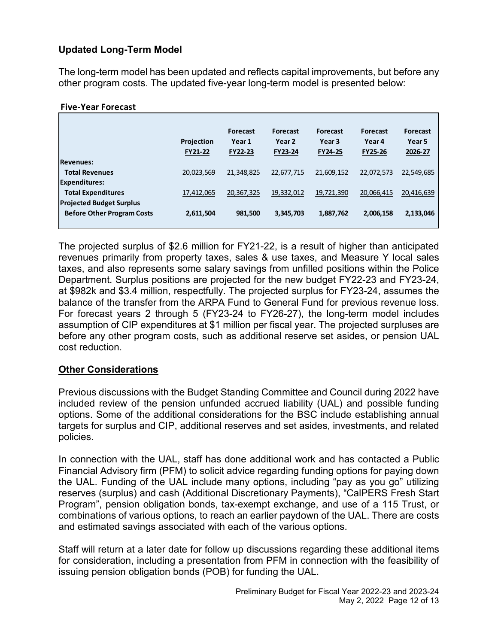# **Updated Long-Term Model**

The long-term model has been updated and reflects capital improvements, but before any other program costs. The updated five-year long-term model is presented below:

#### **Five-Year Forecast**

|                                   | Projection<br><b>FY21-22</b> | <b>Forecast</b><br>Year 1<br><b>FY22-23</b> | <b>Forecast</b><br>Year 2<br><b>FY23-24</b> | <b>Forecast</b><br>Year <sub>3</sub><br><b>FY24-25</b> | <b>Forecast</b><br>Year 4<br>FY25-26 | <b>Forecast</b><br>Year 5<br>2026-27 |
|-----------------------------------|------------------------------|---------------------------------------------|---------------------------------------------|--------------------------------------------------------|--------------------------------------|--------------------------------------|
| <b>Revenues:</b>                  |                              |                                             |                                             |                                                        |                                      |                                      |
| <b>Total Revenues</b>             | 20,023,569                   | 21,348,825                                  | 22,677,715                                  | 21,609,152                                             | 22,072,573                           | 22,549,685                           |
| <b>Expenditures:</b>              |                              |                                             |                                             |                                                        |                                      |                                      |
| <b>Total Expenditures</b>         | 17,412,065                   | 20,367,325                                  | 19,332,012                                  | 19,721,390                                             | 20,066,415                           | 20,416,639                           |
| <b>Projected Budget Surplus</b>   |                              |                                             |                                             |                                                        |                                      |                                      |
| <b>Before Other Program Costs</b> | 2,611,504                    | 981,500                                     | 3,345,703                                   | 1,887,762                                              | 2,006,158                            | 2,133,046                            |
|                                   |                              |                                             |                                             |                                                        |                                      |                                      |

The projected surplus of \$2.6 million for FY21-22, is a result of higher than anticipated revenues primarily from property taxes, sales & use taxes, and Measure Y local sales taxes, and also represents some salary savings from unfilled positions within the Police Department. Surplus positions are projected for the new budget FY22-23 and FY23-24, at \$982k and \$3.4 million, respectfully. The projected surplus for FY23-24, assumes the balance of the transfer from the ARPA Fund to General Fund for previous revenue loss. For forecast years 2 through 5 (FY23-24 to FY26-27), the long-term model includes assumption of CIP expenditures at \$1 million per fiscal year. The projected surpluses are before any other program costs, such as additional reserve set asides, or pension UAL cost reduction.

# **Other Considerations**

Previous discussions with the Budget Standing Committee and Council during 2022 have included review of the pension unfunded accrued liability (UAL) and possible funding options. Some of the additional considerations for the BSC include establishing annual targets for surplus and CIP, additional reserves and set asides, investments, and related policies.

In connection with the UAL, staff has done additional work and has contacted a Public Financial Advisory firm (PFM) to solicit advice regarding funding options for paying down the UAL. Funding of the UAL include many options, including "pay as you go" utilizing reserves (surplus) and cash (Additional Discretionary Payments), "CalPERS Fresh Start Program", pension obligation bonds, tax-exempt exchange, and use of a 115 Trust, or combinations of various options, to reach an earlier paydown of the UAL. There are costs and estimated savings associated with each of the various options.

Staff will return at a later date for follow up discussions regarding these additional items for consideration, including a presentation from PFM in connection with the feasibility of issuing pension obligation bonds (POB) for funding the UAL.